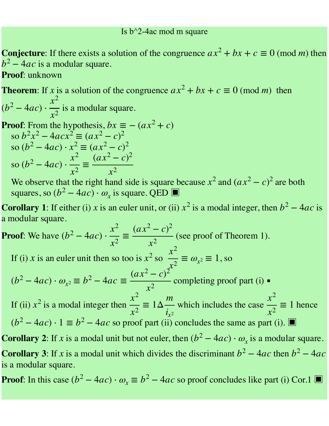## Is  $b^2$ -4ac mod m square

**Conjecture**: If there exists a solution of the congruence  $ax^2 + bx + c \equiv 0 \pmod{m}$  then *b*<sup>2</sup> − 4*ac* is a modular square.

**Proof**: unknown

**Theorem**: If x is a solution of the congruence  $ax^2 + bx + c \equiv 0 \pmod{m}$  then  $(b^2-4ac)\cdot \frac{\pi}{2}$  is a modular square. *x*2 *x*2

**Proof:** From the hypothesis, 
$$
bx \equiv -(ax^2 + c)
$$
  
so  $b^2x^2 - 4acx^2 \equiv (ax^2 - c)^2$   
so  $(b^2 - 4ac) \cdot x^2 \equiv (ax^2 - c)^2$   
so  $(b^2 - 4ac) \cdot \frac{x^2}{x^2} \equiv \frac{(ax^2 - c)^2}{x^2}$ 

We observe that the right hand side is square because  $x^2$  and  $(ax^2 - c)^2$  are both squares, so  $(b^2 - 4ac) \cdot \omega_x$  is square. QED  $\blacksquare$ *x*<sup>2</sup> and  $(ax^2 - c)^2$ 

**Corollary 1**: If either (i) x is an euler unit, or (ii)  $x^2$  is a modal integer, then  $b^2 - 4ac$  is a modular square.

**Proof**: We have  $(b^2 - 4ac) \cdot \frac{\pi}{2} \equiv \frac{(ax-b)}{2}$  (see proof of Theorem 1). If (i) *x* is an euler unit then so too is  $x^2$  so  $\frac{x}{2} \equiv \omega_{x^2} \equiv 1$ , so completing proof part (i) ▪︎ If (ii)  $x^2$  is a modal integer then  $\frac{x^2}{2} \equiv 1 \Delta \frac{m}{2}$  which includes the case  $\frac{x^2}{2} \equiv 1$  hence  $(b^2 - 4ac) \cdot 1 \equiv b^2 - 4ac$  so proof part (ii) concludes the same as part (i). **Corollary 2**: If x is a modal unit but not euler, then  $(b^2 - 4ac) \cdot \omega_x$  is a modular square. **Corollary 3**: If x is a modal unit which divides the discriminant  $b^2 - 4ac$  then  $b^2 - 4ac$ is a modular square. *x*2 *x*2 ≡  $(ax^2-c)^2$ *x*2  $x^2$  so  $\frac{x^2}{2}$ *x*2  $\equiv \omega_{x^2} \equiv 1$  $(b<sup>2</sup> - 4ac) \cdot \omega_{x^2} \equiv b^2 - 4ac \equiv$  $(ax^2-c)^2$ *x*2 *x*2  $\equiv 1\Delta$ *m*  $i_{x^2}$ *x*2 *x*2 ≡ 1

**Proof**: In this case  $(b^2 - 4ac) \cdot \omega_x \equiv b^2 - 4ac$  so proof concludes like part (i) Cor.1 ■